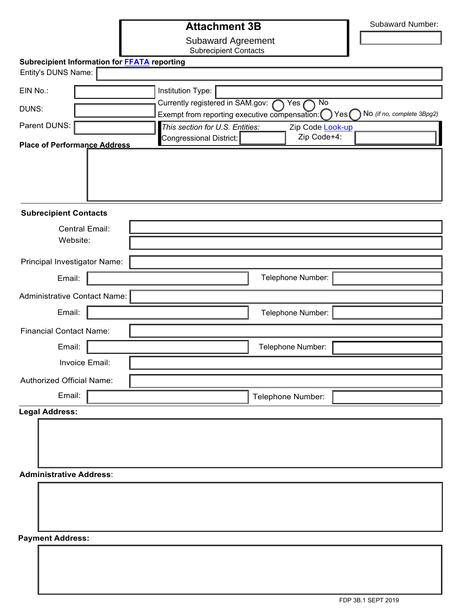## **Attachment 3B**

Subaward Number:

Subaward Agreement

Subrecipient Contacts

| Subrecipient Information for FFATA reporting |                                                                                     |                   |                                     |  |
|----------------------------------------------|-------------------------------------------------------------------------------------|-------------------|-------------------------------------|--|
| Entity's DUNS Name:                          |                                                                                     |                   |                                     |  |
| EIN No.:                                     | Institution Type:                                                                   |                   |                                     |  |
| DUNS:                                        | Currently registered in SAM.gov:<br>$\overline{N}$<br>Yes                           |                   |                                     |  |
| Parent DUNS:                                 | Exempt from reporting executive compensation: ()<br>This section for U.S. Entities: | Zip Code Look-up  | No (if no, complete 3Bpg2)<br>Yes() |  |
|                                              | Congressional District:                                                             | Zip Code+4:       |                                     |  |
| <b>Place of Performance Address</b>          |                                                                                     |                   |                                     |  |
|                                              |                                                                                     |                   |                                     |  |
|                                              |                                                                                     |                   |                                     |  |
|                                              |                                                                                     |                   |                                     |  |
| <b>Subrecipient Contacts</b>                 |                                                                                     |                   |                                     |  |
| <b>Central Email:</b>                        |                                                                                     |                   |                                     |  |
| Website:                                     |                                                                                     |                   |                                     |  |
| Principal Investigator Name:                 |                                                                                     |                   |                                     |  |
| Email:                                       |                                                                                     | Telephone Number: |                                     |  |
| Administrative Contact Name:                 |                                                                                     |                   |                                     |  |
| Email:                                       |                                                                                     | Telephone Number: |                                     |  |
| <b>Financial Contact Name:</b>               |                                                                                     |                   |                                     |  |
| Email:                                       |                                                                                     | Telephone Number: |                                     |  |
| Invoice Email:                               |                                                                                     |                   |                                     |  |
| Authorized Official Name:                    |                                                                                     |                   |                                     |  |
| Email:                                       |                                                                                     |                   |                                     |  |
|                                              |                                                                                     | Telephone Number: |                                     |  |
| <b>Legal Address:</b>                        |                                                                                     |                   |                                     |  |
|                                              |                                                                                     |                   |                                     |  |
|                                              |                                                                                     |                   |                                     |  |
|                                              |                                                                                     |                   |                                     |  |
| <b>Administrative Address:</b>               |                                                                                     |                   |                                     |  |
|                                              |                                                                                     |                   |                                     |  |
|                                              |                                                                                     |                   |                                     |  |
|                                              |                                                                                     |                   |                                     |  |

**Payment Address:**